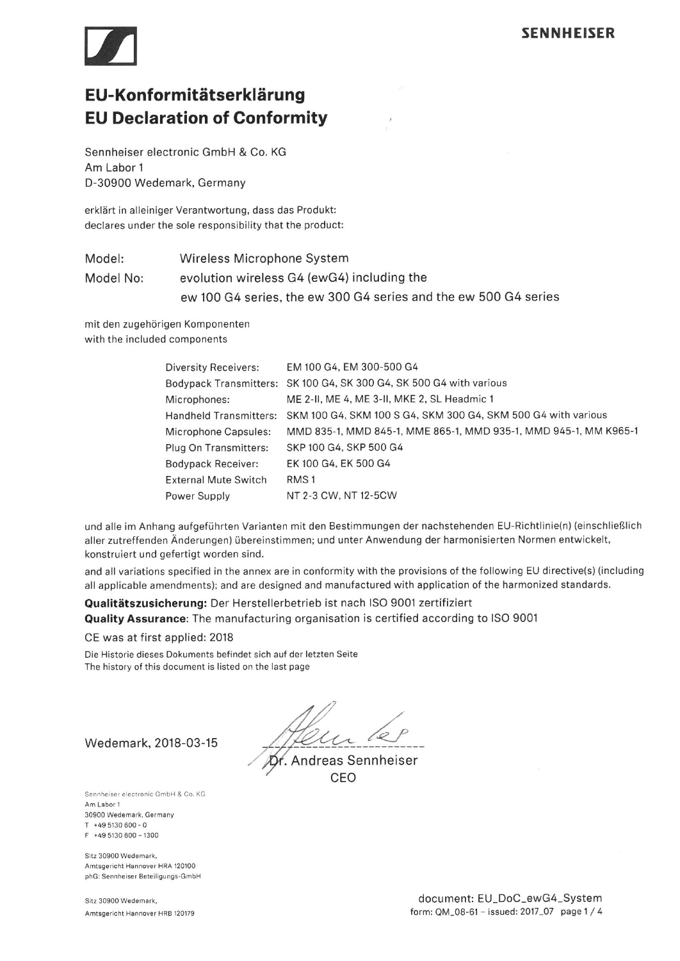

# EU-Konformitätserklärung **EU Declaration of Conformity**

Sennheiser electronic GmbH & Co. KG Am Labor 1 D-30900 Wedemark, Germany

erklärt in alleiniger Verantwortung, dass das Produkt: declares under the sole responsibility that the product:

Wireless Microphone System Model: evolution wireless G4 (ewG4) including the Model No: ew 100 G4 series, the ew 300 G4 series and the ew 500 G4 series

mit den zugehörigen Komponenten with the included components

| Diversity Receivers:          | EM 100 G4, EM 300-500 G4                                         |
|-------------------------------|------------------------------------------------------------------|
| <b>Bodypack Transmitters:</b> | SK 100 G4, SK 300 G4, SK 500 G4 with various                     |
| Microphones:                  | ME 2-II, ME 4, ME 3-II, MKE 2, SL Headmic 1                      |
| <b>Handheld Transmitters:</b> | SKM 100 G4, SKM 100 S G4, SKM 300 G4, SKM 500 G4 with various    |
| Microphone Capsules:          | MMD 835-1, MMD 845-1, MME 865-1, MMD 935-1, MMD 945-1, MM K965-1 |
| Plug On Transmitters:         | SKP 100 G4, SKP 500 G4                                           |
| <b>Bodypack Receiver:</b>     | EK 100 G4, EK 500 G4                                             |
| <b>External Mute Switch</b>   | RMS <sub>1</sub>                                                 |
| Power Supply                  | NT 2-3 CW, NT 12-5CW                                             |

und alle im Anhang aufgeführten Varianten mit den Bestimmungen der nachstehenden EU-Richtlinie(n) (einschließlich aller zutreffenden Änderungen) übereinstimmen; und unter Anwendung der harmonisierten Normen entwickelt, konstruiert und gefertigt worden sind.

and all variations specified in the annex are in conformity with the provisions of the following EU directive(s) (including all applicable amendments); and are designed and manufactured with application of the harmonized standards.

## Qualitätszusicherung: Der Herstellerbetrieb ist nach ISO 9001 zertifiziert Quality Assurance: The manufacturing organisation is certified according to ISO 9001

#### CE was at first applied: 2018

Die Historie dieses Dokuments befindet sich auf der letzten Seite The history of this document is listed on the last page

Andreas Sennheiser CFO

Wedemark, 2018-03-15

Sennheiser electronic GmbH & Co. KG Am Labor 1 30900 Wedemark, Germany  $T + 495130600 - 0$ F +49 5130 600 - 1300

Sitz 30900 Wedemark, Amtsgericht Hannover HRA 120100 phG: Sennheiser Beteiligungs-GmbH

Sitz 30900 Wedemark, Amtsgericht Hannover HRB 120179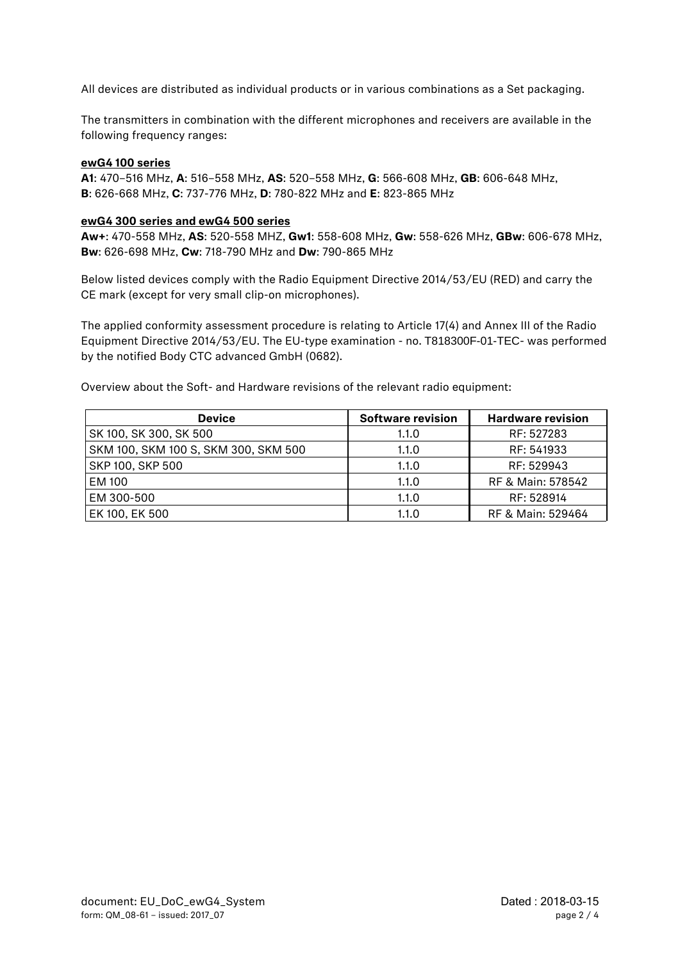All devices are distributed as individual products or in various combinations as a Set packaging.

The transmitters in combination with the different microphones and receivers are available in the following frequency ranges:

#### **ewG4 100 series**

**A1**: 470–516 MHz, **A**: 516–558 MHz, **AS**: 520–558 MHz, **G**: 566-608 MHz, **GB**: 606-648 MHz, **B**: 626-668 MHz, **C**: 737-776 MHz, **D**: 780-822 MHz and **E**: 823-865 MHz

#### **ewG4 300 series and ewG4 500 series**

**Aw+**: 470-558 MHz, **AS**: 520-558 MHZ, **Gw1**: 558-608 MHz, **Gw**: 558-626 MHz, **GBw**: 606-678 MHz, **Bw**: 626-698 MHz, **Cw**: 718-790 MHz and **Dw**: 790-865 MHz

Below listed devices comply with the Radio Equipment Directive 2014/53/EU (RED) and carry the CE mark (except for very small clip-on microphones).

The applied conformity assessment procedure is relating to Article 17(4) and Annex III of the Radio Equipment Directive 2014/53/EU. The EU-type examination - no. T818300F-01-TEC- was performed by the notified Body CTC advanced GmbH (0682).

| <b>Device</b>                        | <b>Software revision</b> | <b>Hardware revision</b> |
|--------------------------------------|--------------------------|--------------------------|
| SK 100, SK 300, SK 500               | 1.1.0                    | RF: 527283               |
| SKM 100, SKM 100 S, SKM 300, SKM 500 | 1.1.0                    | RF: 541933               |
| SKP 100, SKP 500                     | 1.1.0                    | RF: 529943               |
| <b>EM 100</b>                        | 1.1.0                    | RF & Main: 578542        |
| EM 300-500                           | 1.1.0                    | RF: 528914               |
| EK 100, EK 500                       | 1.1.0                    | RF & Main: 529464        |

Overview about the Soft- and Hardware revisions of the relevant radio equipment: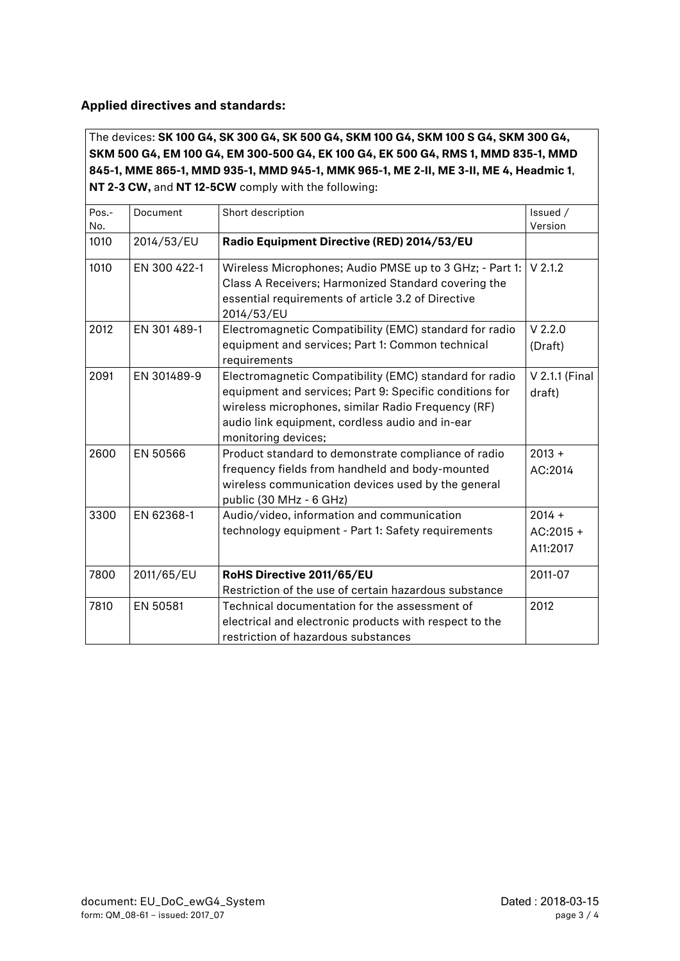# **Applied directives and standards:**

The devices: **SK 100 G4, SK 300 G4, SK 500 G4, SKM 100 G4, SKM 100 S G4, SKM 300 G4, SKM 500 G4, EM 100 G4, EM 300-500 G4, EK 100 G4, EK 500 G4, RMS 1, MMD 835-1, MMD 845-1, MME 865-1, MMD 935-1, MMD 945-1, MMK 965-1, ME 2-II, ME 3-II, ME 4, Headmic 1**, **NT 2-3 CW,** and **NT 12-5CW** comply with the following:

| Pos.-<br>No. | Document     | Short description                                                                                                                                                                                                                                 | Issued /<br>Version                 |
|--------------|--------------|---------------------------------------------------------------------------------------------------------------------------------------------------------------------------------------------------------------------------------------------------|-------------------------------------|
| 1010         | 2014/53/EU   | Radio Equipment Directive (RED) 2014/53/EU                                                                                                                                                                                                        |                                     |
| 1010         | EN 300 422-1 | Wireless Microphones; Audio PMSE up to 3 GHz; - Part 1:<br>Class A Receivers; Harmonized Standard covering the<br>essential requirements of article 3.2 of Directive<br>2014/53/EU                                                                | $V$ 2.1.2                           |
| 2012         | EN 301 489-1 | Electromagnetic Compatibility (EMC) standard for radio<br>equipment and services; Part 1: Common technical<br>requirements                                                                                                                        | $V$ 2.2.0<br>(Draft)                |
| 2091         | EN 301489-9  | Electromagnetic Compatibility (EMC) standard for radio<br>equipment and services; Part 9: Specific conditions for<br>wireless microphones, similar Radio Frequency (RF)<br>audio link equipment, cordless audio and in-ear<br>monitoring devices; | V 2.1.1 (Final<br>draft)            |
| 2600         | EN 50566     | Product standard to demonstrate compliance of radio<br>frequency fields from handheld and body-mounted<br>wireless communication devices used by the general<br>public (30 MHz - 6 GHz)                                                           | $2013 +$<br>AC:2014                 |
| 3300         | EN 62368-1   | Audio/video, information and communication<br>technology equipment - Part 1: Safety requirements                                                                                                                                                  | $2014 +$<br>$AC:2015 +$<br>A11:2017 |
| 7800         | 2011/65/EU   | RoHS Directive 2011/65/EU<br>Restriction of the use of certain hazardous substance                                                                                                                                                                | 2011-07                             |
| 7810         | EN 50581     | Technical documentation for the assessment of<br>electrical and electronic products with respect to the<br>restriction of hazardous substances                                                                                                    | 2012                                |